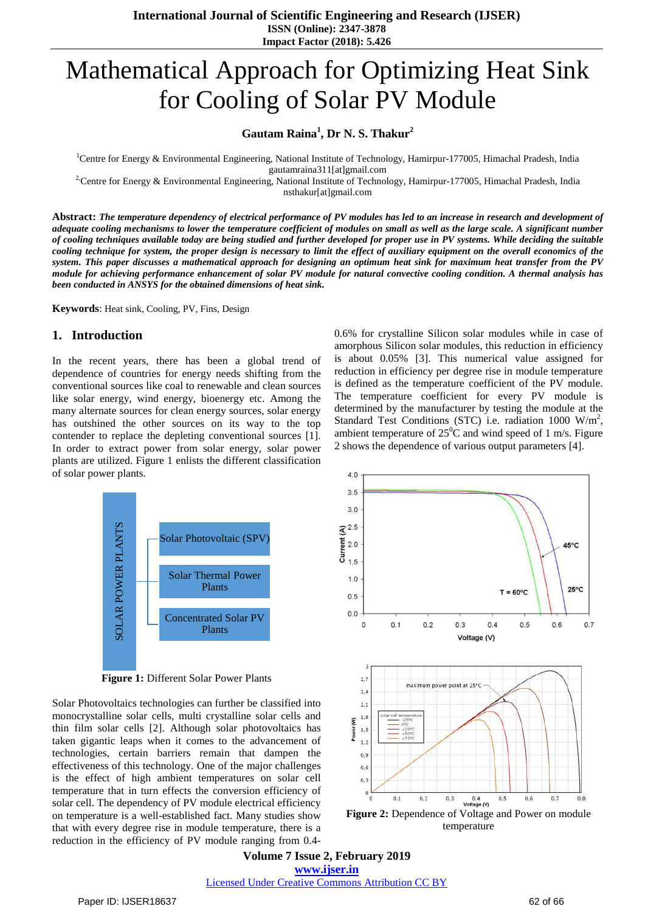**International Journal of Scientific Engineering and Research (IJSER) ISSN (Online): 2347-3878 Impact Factor (2018): 5.426**

# Mathematical Approach for Optimizing Heat Sink for Cooling of Solar PV Module

# **Gautam Raina<sup>1</sup> , Dr N. S. Thakur<sup>2</sup>**

<sup>1</sup>Centre for Energy & Environmental Engineering, National Institute of Technology, Hamirpur-177005, Himachal Pradesh, India gautamraina311[at]gmail.com

<sup>2</sup>:Centre for Energy & Environmental Engineering, National Institute of Technology, Hamirpur-177005, Himachal Pradesh, India nsthakur[at]gmail.com

Abstract: The temperature dependency of electrical performance of PV modules has led to an increase in research and development of adequate cooling mechanisms to lower the temperature coefficient of modules on small as well as the large scale. A significant number of cooling techniques available today are being studied and further developed for proper use in PV systems. While deciding the suitable cooling technique for system, the proper design is necessary to limit the effect of auxiliary equipment on the overall economics of the system. This paper discusses a mathematical approach for designing an optimum heat sink for maximum heat transfer from the PV module for achieving performance enhancement of solar PV module for natural convective cooling condition. A thermal analysis has *been conducted in ANSYS for the obtained dimensions of heat sink.*

**Keywords**: Heat sink, Cooling, PV, Fins, Design

#### **1. Introduction**

In the recent years, there has been a global trend of dependence of countries for energy needs shifting from the conventional sources like coal to renewable and clean sources like solar energy, wind energy, bioenergy etc. Among the many alternate sources for clean energy sources, solar energy has outshined the other sources on its way to the top contender to replace the depleting conventional sources [1]. In order to extract power from solar energy, solar power plants are utilized. Figure 1 enlists the different classification of solar power plants.

**SOLAR POWER PLANTS** SOLAR POWER PLANTS Solar Photovoltaic (SPV) Solar Thermal Power Plants Concentrated Solar PV Plants

**Figure 1:** Different Solar Power Plants

Solar Photovoltaics technologies can further be classified into monocrystalline solar cells, multi crystalline solar cells and thin film solar cells [2]. Although solar photovoltaics has taken gigantic leaps when it comes to the advancement of technologies, certain barriers remain that dampen the effectiveness of this technology. One of the major challenges is the effect of high ambient temperatures on solar cell temperature that in turn effects the conversion efficiency of solar cell. The dependency of PV module electrical efficiency on temperature is a well-established fact. Many studies show that with every degree rise in module temperature, there is a reduction in the efficiency of PV module ranging from 0.40.6% for crystalline Silicon solar modules while in case of amorphous Silicon solar modules, this reduction in efficiency is about 0.05% [3]. This numerical value assigned for reduction in efficiency per degree rise in module temperature is defined as the temperature coefficient of the PV module. The temperature coefficient for every PV module is determined by the manufacturer by testing the module at the Standard Test Conditions (STC) i.e. radiation 1000 W/m<sup>2</sup>, ambient temperature of  $25^{\circ}$ C and wind speed of 1 m/s. Figure 2 shows the dependence of various output parameters [4].



**Volume 7 Issue 2, February 2019 www.ijser.in** Licensed Under Creative Commons Attribution CC BY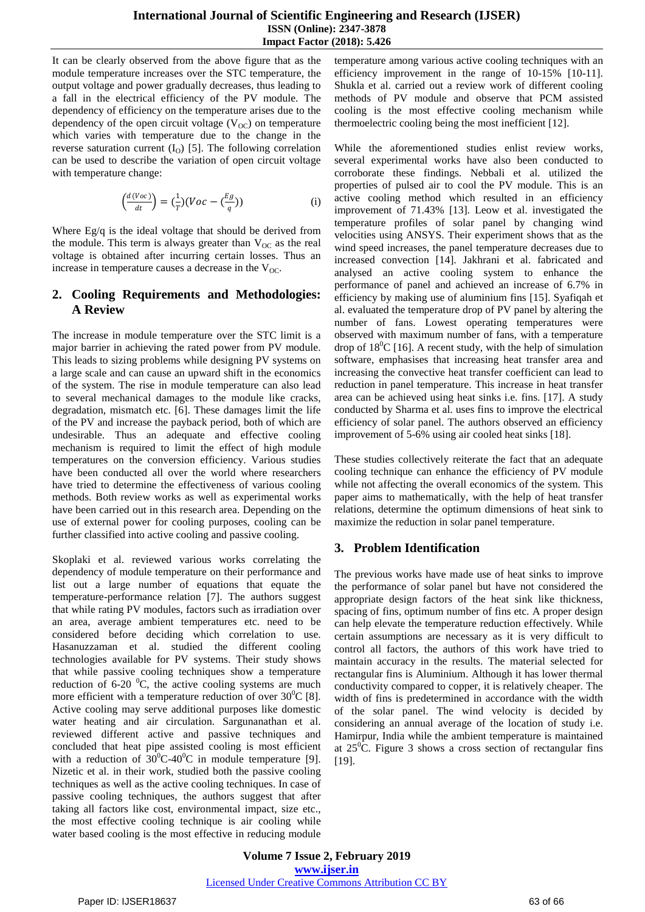### **International Journal of Scientific Engineering and Research (IJSER) ISSN (Online): 2347-3878 Impact Factor (2018): 5.426**

It can be clearly observed from the above figure that as the module temperature increases over the STC temperature, the output voltage and power gradually decreases, thus leading to a fall in the electrical efficiency of the PV module. The dependency of efficiency on the temperature arises due to the dependency of the open circuit voltage  $(V_{OC})$  on temperature which varies with temperature due to the change in the reverse saturation current  $(I<sub>o</sub>)$  [5]. The following correlation can be used to describe the variation of open circuit voltage with temperature change:

$$
\left(\frac{d(Voc)}{dt}\right) = \left(\frac{1}{T}\right)\left(Voc - \left(\frac{Eg}{q}\right)\right) \tag{i}
$$

Where Eg/q is the ideal voltage that should be derived from the module. This term is always greater than  $V_{OC}$  as the real voltage is obtained after incurring certain losses. Thus an increase in temperature causes a decrease in the  $V_{OC}$ .

# **2. Cooling Requirements and Methodologies: A Review**

The increase in module temperature over the STC limit is a major barrier in achieving the rated power from PV module. This leads to sizing problems while designing PV systems on a large scale and can cause an upward shift in the economics of the system. The rise in module temperature can also lead to several mechanical damages to the module like cracks, degradation, mismatch etc. [6]. These damages limit the life of the PV and increase the payback period, both of which are undesirable. Thus an adequate and effective cooling mechanism is required to limit the effect of high module temperatures on the conversion efficiency. Various studies have been conducted all over the world where researchers have tried to determine the effectiveness of various cooling methods. Both review works as well as experimental works have been carried out in this research area. Depending on the use of external power for cooling purposes, cooling can be further classified into active cooling and passive cooling.

Skoplaki et al. reviewed various works correlating the dependency of module temperature on their performance and list out a large number of equations that equate the temperature-performance relation [7]. The authors suggest that while rating PV modules, factors such as irradiation over an area, average ambient temperatures etc. need to be considered before deciding which correlation to use. Hasanuzzaman et al. studied the different cooling technologies available for PV systems. Their study shows that while passive cooling techniques show a temperature reduction of 6-20  $^{0}C$ , the active cooling systems are much more efficient with a temperature reduction of over  $30^0C$  [8]. Active cooling may serve additional purposes like domestic water heating and air circulation. Sargunanathan et al. reviewed different active and passive techniques and concluded that heat pipe assisted cooling is most efficient with a reduction of  $30^{\circ}$ C-40<sup>o</sup>C in module temperature [9]. Nizetic et al. in their work, studied both the passive cooling techniques as well as the active cooling techniques. In case of passive cooling techniques, the authors suggest that after taking all factors like cost, environmental impact, size etc., the most effective cooling technique is air cooling while water based cooling is the most effective in reducing module temperature among various active cooling techniques with an efficiency improvement in the range of 10-15% [10-11]. Shukla et al. carried out a review work of different cooling methods of PV module and observe that PCM assisted cooling is the most effective cooling mechanism while thermoelectric cooling being the most inefficient [12].

While the aforementioned studies enlist review works, several experimental works have also been conducted to corroborate these findings. Nebbali et al. utilized the properties of pulsed air to cool the PV module. This is an active cooling method which resulted in an efficiency improvement of 71.43% [13]. Leow et al. investigated the temperature profiles of solar panel by changing wind velocities using ANSYS. Their experiment shows that as the wind speed increases, the panel temperature decreases due to increased convection [14]. Jakhrani et al. fabricated and analysed an active cooling system to enhance the performance of panel and achieved an increase of 6.7% in efficiency by making use of aluminium fins [15]. Syafiqah et al. evaluated the temperature drop of PV panel by altering the number of fans. Lowest operating temperatures were observed with maximum number of fans, with a temperature drop of  $18^{\circ}$ C [16]. A recent study, with the help of simulation software, emphasises that increasing heat transfer area and increasing the convective heat transfer coefficient can lead to reduction in panel temperature. This increase in heat transfer area can be achieved using heat sinks i.e. fins. [17]. A study conducted by Sharma et al. uses fins to improve the electrical efficiency of solar panel. The authors observed an efficiency improvement of 5-6% using air cooled heat sinks [18].

These studies collectively reiterate the fact that an adequate cooling technique can enhance the efficiency of PV module while not affecting the overall economics of the system. This paper aims to mathematically, with the help of heat transfer relations, determine the optimum dimensions of heat sink to maximize the reduction in solar panel temperature.

# **3. Problem Identification**

The previous works have made use of heat sinks to improve the performance of solar panel but have not considered the appropriate design factors of the heat sink like thickness, spacing of fins, optimum number of fins etc. A proper design can help elevate the temperature reduction effectively. While certain assumptions are necessary as it is very difficult to control all factors, the authors of this work have tried to maintain accuracy in the results. The material selected for rectangular fins is Aluminium. Although it has lower thermal conductivity compared to copper, it is relatively cheaper. The width of fins is predetermined in accordance with the width of the solar panel. The wind velocity is decided by considering an annual average of the location of study i.e. Hamirpur, India while the ambient temperature is maintained at  $25^{\circ}$ C. Figure 3 shows a cross section of rectangular fins [19].

**Volume 7 Issue 2, February 2019 www.ijser.in** Licensed Under Creative Commons Attribution CC BY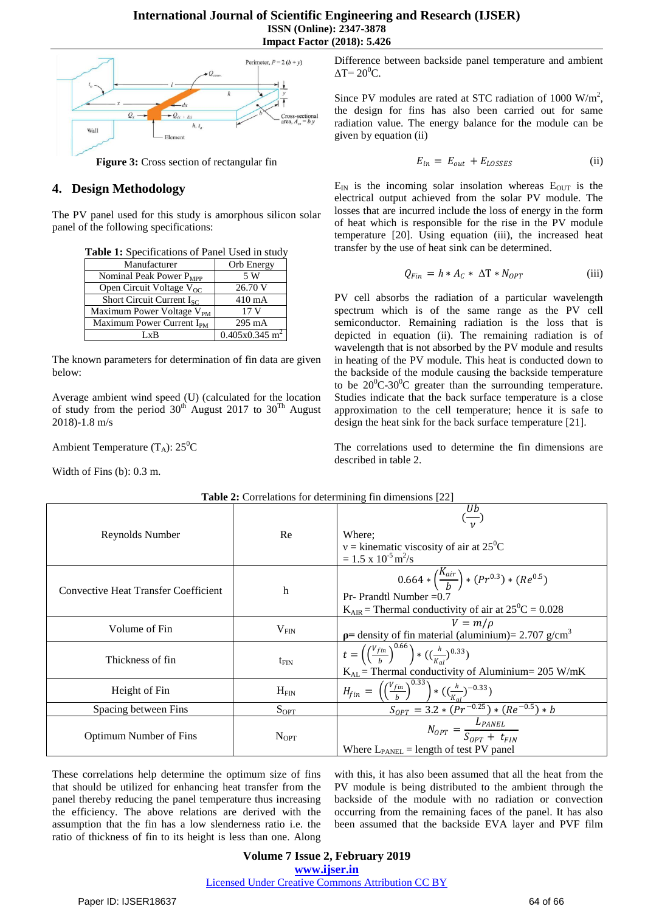

**Figure 3:** Cross section of rectangular fin

# **4. Design Methodology**

The PV panel used for this study is amorphous silicon solar panel of the following specifications:

| <b>Table 1:</b> Specifications of Failer Osed In Study |                              |
|--------------------------------------------------------|------------------------------|
| Manufacturer                                           | Orb Energy                   |
| Nominal Peak Power $P_{MPP}$                           | 5 W                          |
| Open Circuit Voltage $V_{OC}$                          | 26.70 V                      |
| Short Circuit Current $I_{SC}$                         | $410 \text{ mA}$             |
| Maximum Power Voltage V <sub>PM</sub>                  | 17 V                         |
| Maximum Power Current I <sub>PM</sub>                  | 295 mA                       |
| ſvR                                                    | $0.405x0.345$ m <sup>2</sup> |

**Table 1:** Specifications of Panel Used in study

The known parameters for determination of fin data are given below:

Average ambient wind speed (U) (calculated for the location of study from the period  $30<sup>th</sup>$  August 2017 to  $30<sup>Th</sup>$  August 2018)-1.8 m/s

Ambient Temperature  $(T_A)$ : 25<sup>0</sup>C

Width of Fins (b): 0.3 m.

Difference between backside panel temperature and ambient  $\Delta T = 20^0C$ .

Since PV modules are rated at STC radiation of 1000  $W/m^2$ , the design for fins has also been carried out for same radiation value. The energy balance for the module can be given by equation (ii)

$$
E_{in} = E_{out} + E_{LOSSES}
$$
 (ii)

 $E_{IN}$  is the incoming solar insolation whereas  $E_{OUT}$  is the electrical output achieved from the solar PV module. The losses that are incurred include the loss of energy in the form of heat which is responsible for the rise in the PV module temperature [20]. Using equation (iii), the increased heat transfer by the use of heat sink can be determined.

$$
Q_{Fin} = h * A_c * \Delta T * N_{OPT}
$$
 (iii)

PV cell absorbs the radiation of a particular wavelength spectrum which is of the same range as the PV cell semiconductor. Remaining radiation is the loss that is depicted in equation (ii). The remaining radiation is of wavelength that is not absorbed by the PV module and results in heating of the PV module. This heat is conducted down to the backside of the module causing the backside temperature to be  $20^0C-30^0C$  greater than the surrounding temperature. Studies indicate that the back surface temperature is a close approximation to the cell temperature; hence it is safe to design the heat sink for the back surface temperature [21].

The correlations used to determine the fin dimensions are described in table 2.

| <b>Table 2:</b> Correlations for determining $\text{m}$ dimensions $ 22 $ |                  |                                                                                                                                                                             |
|---------------------------------------------------------------------------|------------------|-----------------------------------------------------------------------------------------------------------------------------------------------------------------------------|
| Reynolds Number                                                           | Re               | $\frac{Ub}{v}$<br>Where:<br>$v =$ kinematic viscosity of air at 25 <sup>0</sup> C<br>$= 1.5 \times 10^{-5}$ m <sup>2</sup> /s                                               |
| <b>Convective Heat Transfer Coefficient</b>                               | h                | $0.664 * \left(\frac{K_{air}}{h}\right) * (Pr^{0.3}) * (Re^{0.5})$<br>Pr- Prandtl Number $=0.7$<br>$K_{\text{AIR}}$ = Thermal conductivity of air at $25^{\circ}$ C = 0.028 |
| Volume of Fin                                                             | V <sub>FIN</sub> | $V = m/\rho$<br>$p$ = density of fin material (aluminium)= 2.707 g/cm <sup>3</sup>                                                                                          |
| Thickness of fin                                                          | $t_{\text{FIN}}$ | $t = \left(\left(\frac{V_{fin}}{h}\right)^{0.66}\right) * \left(\left(\frac{h}{K_{ol}}\right)^{0.33}\right)$<br>$K_{AL}$ = Thermal conductivity of Aluminium = 205 W/mK     |
| Height of Fin                                                             | $H_{FIN}$        | $H_{fin} = \left(\left(\frac{V_{fin}}{h}\right)^{0.33}\right) * \left(\left(\frac{h}{K_{rel}}\right)^{-0.33}\right)$                                                        |
| Spacing between Fins                                                      | $S_{\text{OPT}}$ |                                                                                                                                                                             |
| <b>Optimum Number of Fins</b>                                             | $N_{\rm OPT}$    | $\frac{S_{OPT} = 3.2 * (Pr^{-0.25}) * (Re^{-0.5}) * b}{N_{OPT} = \frac{L_{PANEL}}{S_{OPT} + t_{FIN}}$<br>Where $L_{\text{PANEL}}$ = length of test PV panel                 |

**Table 2:** Correlations for determining fin dimensions [22]

These correlations help determine the optimum size of fins that should be utilized for enhancing heat transfer from the panel thereby reducing the panel temperature thus increasing the efficiency. The above relations are derived with the assumption that the fin has a low slenderness ratio i.e. the ratio of thickness of fin to its height is less than one. Along

with this, it has also been assumed that all the heat from the PV module is being distributed to the ambient through the backside of the module with no radiation or convection occurring from the remaining faces of the panel. It has also been assumed that the backside EVA layer and PVF film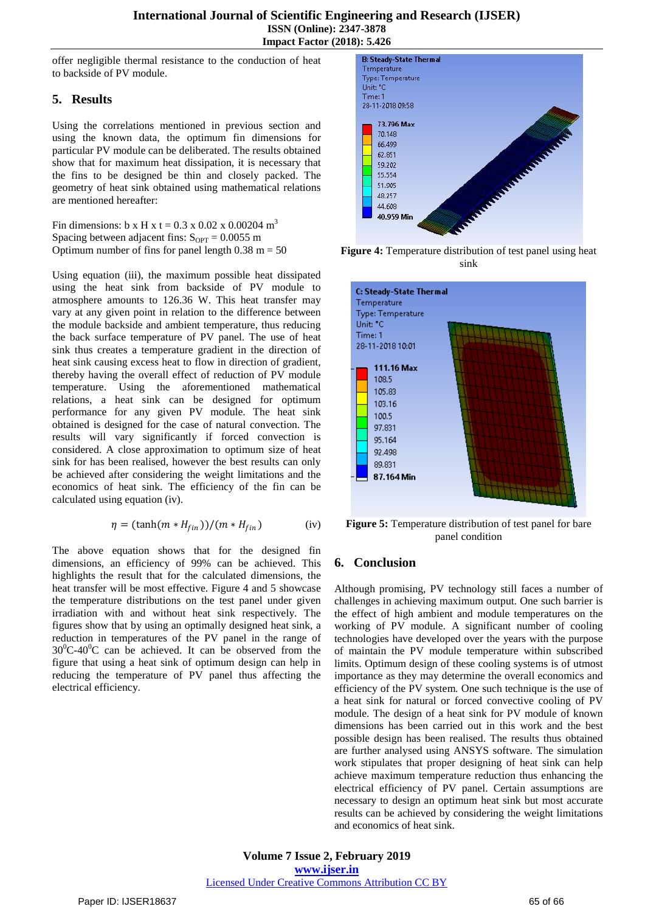offer negligible thermal resistance to the conduction of heat to backside of PV module.

# **5. Results**

Using the correlations mentioned in previous section and using the known data, the optimum fin dimensions for particular PV module can be deliberated. The results obtained show that for maximum heat dissipation, it is necessary that the fins to be designed be thin and closely packed. The geometry of heat sink obtained using mathematical relations are mentioned hereafter:

Fin dimensions: b x H x t =  $0.3$  x  $0.02$  x  $0.00204$  m<sup>3</sup> Spacing between adjacent fins:  $S_{\text{OPT}} = 0.0055$  m Optimum number of fins for panel length  $0.38$  m = 50

Using equation (iii), the maximum possible heat dissipated using the heat sink from backside of PV module to atmosphere amounts to 126.36 W. This heat transfer may vary at any given point in relation to the difference between the module backside and ambient temperature, thus reducing the back surface temperature of PV panel. The use of heat sink thus creates a temperature gradient in the direction of heat sink causing excess heat to flow in direction of gradient, thereby having the overall effect of reduction of PV module temperature. Using the aforementioned mathematical relations, a heat sink can be designed for optimum performance for any given PV module. The heat sink obtained is designed for the case of natural convection. The results will vary significantly if forced convection is considered. A close approximation to optimum size of heat sink for has been realised, however the best results can only be achieved after considering the weight limitations and the economics of heat sink. The efficiency of the fin can be calculated using equation (iv).

$$
\eta = (\tanh(m * H_{fin}))/(m * H_{fin})
$$
 (iv)

The above equation shows that for the designed fin dimensions, an efficiency of 99% can be achieved. This highlights the result that for the calculated dimensions, the heat transfer will be most effective. Figure 4 and 5 showcase the temperature distributions on the test panel under given irradiation with and without heat sink respectively. The figures show that by using an optimally designed heat sink, a reduction in temperatures of the PV panel in the range of  $30^0C-40^0C$  can be achieved. It can be observed from the figure that using a heat sink of optimum design can help in reducing the temperature of PV panel thus affecting the electrical efficiency.



**Figure 4:** Temperature distribution of test panel using heat sink



**Figure 5:** Temperature distribution of test panel for bare panel condition

# **6. Conclusion**

Although promising, PV technology still faces a number of challenges in achieving maximum output. One such barrier is the effect of high ambient and module temperatures on the working of PV module. A significant number of cooling technologies have developed over the years with the purpose of maintain the PV module temperature within subscribed limits. Optimum design of these cooling systems is of utmost importance as they may determine the overall economics and efficiency of the PV system. One such technique is the use of a heat sink for natural or forced convective cooling of PV module. The design of a heat sink for PV module of known dimensions has been carried out in this work and the best possible design has been realised. The results thus obtained are further analysed using ANSYS software. The simulation work stipulates that proper designing of heat sink can help achieve maximum temperature reduction thus enhancing the electrical efficiency of PV panel. Certain assumptions are necessary to design an optimum heat sink but most accurate results can be achieved by considering the weight limitations and economics of heat sink.